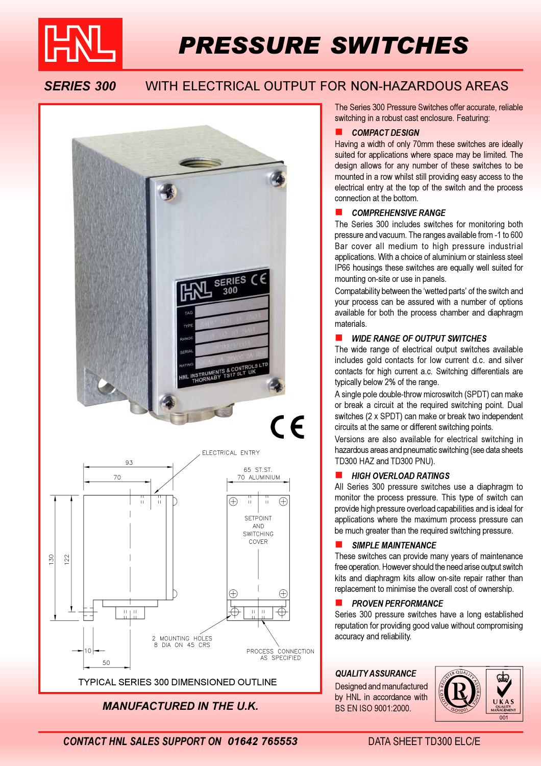

# PRESSURE SWITCHES

# SERIES 300 WITH ELECTRICAL OUTPUT FOR NON-HAZARDOUS AREAS



MANUFACTURED IN THE U.K.

The Series 300 Pressure Switches offer accurate, reliable switching in a robust cast enclosure. Featuring:

#### COMPACT DESIGN

Having a width of only 70mm these switches are ideally suited for applications where space may be limited. The design allows for any number of these switches to be mounted in a row whilst still providing easy access to the electrical entry at the top of the switch and the process connection at the bottom.

#### COMPREHENSIVE RANGE

The Series 300 includes switches for monitoring both pressure and vacuum. The ranges available from -1 to 600 Bar cover all medium to high pressure industrial applications. With a choice of aluminium or stainless steel IP66 housings these switches are equally well suited for mounting on-site or use in panels.

Compatability between the 'wetted parts' of the switch and your process can be assured with a number of options available for both the process chamber and diaphragm materials.

#### WIDE RANGE OF OUTPUT SWITCHES

The wide range of electrical output switches available includes gold contacts for low current d.c. and silver contacts for high current a.c. Switching differentials are typically below 2% of the range.

A single pole double-throw microswitch (SPDT) can make or break a circuit at the required switching point. Dual switches (2 x SPDT) can make or break two independent circuits at the same or different switching points.

Versions are also available for electrical switching in hazardous areas and pneumatic switching (see data sheets TD300 HAZ and TD300 PNU).

#### HIGH OVERLOAD RATINGS

All Series 300 pressure switches use a diaphragm to monitor the process pressure. This type of switch can provide high pressure overload capabilities and is ideal for applications where the maximum process pressure can be much greater than the required switching pressure.

### SIMPLE MAINTENANCE

These switches can provide many years of maintenance free operation. However should the need arise output switch kits and diaphragm kits allow on-site repair rather than replacement to minimise the overall cost of ownership.

#### ! PROVEN PERFORMANCE

Series 300 pressure switches have a long established reputation for providing good value without compromising accuracy and reliability.

Designed and manufactured by HNL in accordance with BS EN ISO 9001:2000.



CONTACT HNL SALES SUPPORT ON 01642 765553 DATA SHEET TD300 FLC/F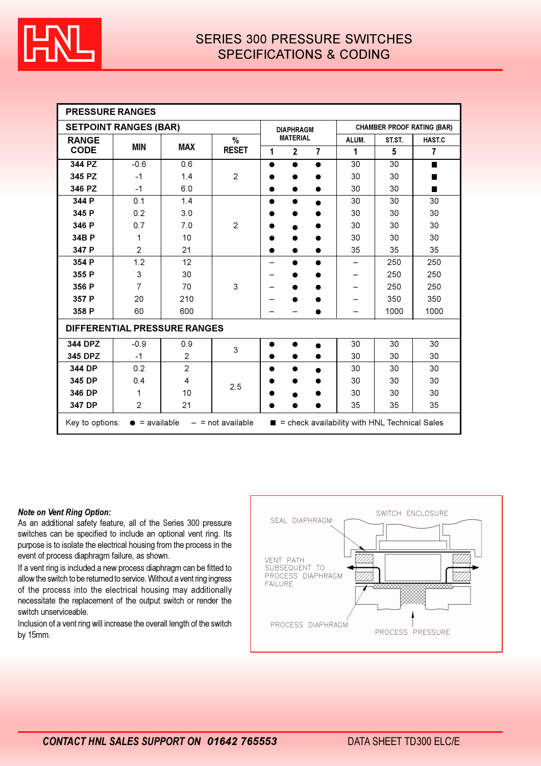

| <b>PRESSURE RANGES</b>                                                                                                             |                          |                |                               |                 |                  |                |                                   |        |                |  |
|------------------------------------------------------------------------------------------------------------------------------------|--------------------------|----------------|-------------------------------|-----------------|------------------|----------------|-----------------------------------|--------|----------------|--|
| <b>SETPOINT RANGES (BAR)</b>                                                                                                       |                          |                |                               |                 | <b>DIAPHRAGM</b> |                | <b>CHAMBER PROOF RATING (BAR)</b> |        |                |  |
| <b>RANGE</b>                                                                                                                       | <b>MIN</b><br><b>MAX</b> |                | $\frac{0}{0}$<br><b>RESET</b> | <b>MATERIAL</b> |                  |                | ALUM.                             | ST.ST. | <b>HAST.C</b>  |  |
| <b>CODE</b>                                                                                                                        |                          |                |                               | 1               | $\mathbf{2}$     | $\overline{7}$ | 1                                 | 5      | $\overline{7}$ |  |
| 344 PZ                                                                                                                             | $-0.6$                   | 0.6            |                               | ●               | $\bullet$        | $\bullet$      | 30                                | 30     | $\blacksquare$ |  |
| 345 PZ                                                                                                                             | $-1$                     | 1.4            | $\overline{2}$                |                 |                  |                | 30                                | 30     | ■              |  |
| 346 PZ                                                                                                                             | $-1$                     | 6.0            |                               |                 | 0                |                | 30                                | 30     | ■              |  |
| 344 P                                                                                                                              | 0.1                      | 1.4            |                               |                 |                  |                | 30                                | 30     | 30             |  |
| 345 P                                                                                                                              | 0.2                      | 3.0            |                               |                 |                  |                | 30                                | 30     | 30             |  |
| 346 P                                                                                                                              | 0.7                      | 7.0            | $\overline{2}$                |                 |                  |                | 30                                | 30     | 30             |  |
| 34B P                                                                                                                              | 1                        | 10             |                               |                 |                  |                | 30                                | 30     | 30             |  |
| 347 P                                                                                                                              | $\overline{2}$           | 21             |                               |                 |                  | ●              | 35                                | 35     | 35             |  |
| 354 P                                                                                                                              | 1.2                      | 12             |                               |                 | ●                | ●              |                                   | 250    | 250            |  |
| 355 P                                                                                                                              | 3                        | 30             | 3                             |                 |                  |                |                                   | 250    | 250            |  |
| 356 P                                                                                                                              | $\overline{7}$           | 70             |                               |                 |                  |                |                                   | 250    | 250            |  |
| 357 P                                                                                                                              | 20                       | 210            |                               |                 |                  |                |                                   | 350    | 350            |  |
| 358 P                                                                                                                              | 60                       | 600            |                               |                 |                  |                |                                   | 1000   | 1000           |  |
| <b>DIFFERENTIAL PRESSURE RANGES</b>                                                                                                |                          |                |                               |                 |                  |                |                                   |        |                |  |
| 344 DPZ                                                                                                                            | $-0.9$                   | 0.9            | 3                             | ●               |                  | $\bullet$      | 30                                | 30     | 30             |  |
| 345 DPZ                                                                                                                            | $-1$                     | $\overline{c}$ |                               |                 |                  |                | 30                                | 30     | 30             |  |
| 344 DP                                                                                                                             | 0.2                      | $\overline{2}$ | 2.5                           |                 |                  |                | 30                                | 30     | 30             |  |
| 345 DP                                                                                                                             | 0.4                      | 4              |                               |                 |                  |                | 30                                | 30     | 30             |  |
| 346 DP                                                                                                                             | 1                        | 10             |                               |                 |                  |                | 30                                | 30     | 30             |  |
| 347 DP                                                                                                                             | $\overline{2}$           | 21             |                               |                 |                  |                | 35                                | 35     | 35             |  |
| = check availability with HNL Technical Sales<br>$\bullet$ = available<br>Key to options:<br>$-$ = not available<br>$\blacksquare$ |                          |                |                               |                 |                  |                |                                   |        |                |  |

#### Note on Vent Ring Option:

As an additional safety feature, all of the Series 300 pressure switches can be specified to include an optional vent ring. Its purpose is to isolate the electrical housing from the process in the event of process diaphragm failure, as shown.

If a vent ring is included a new process diaphragm can be fitted to allow the switch to be returned to service. Without a vent ring ingress of the process into the electrical housing may additionally necessitate the replacement of the output switch or render the switch unserviceable.

Inclusion of a vent ring will increase the overall length of the switch by 15mm.

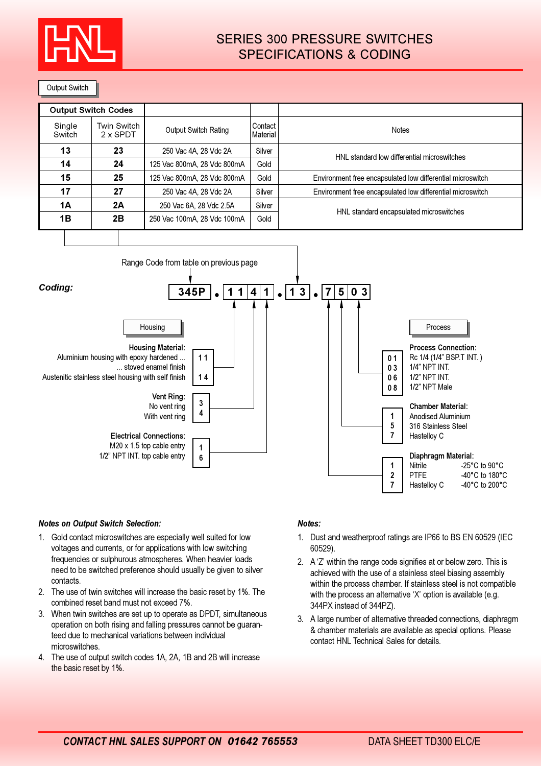

## SERIES 300 PRESSURE SWITCHES SPECIFICATIONS & CODING

Output Switch

| <b>Output Switch Codes</b> |                                       |                             |                              |                                                            |  |  |
|----------------------------|---------------------------------------|-----------------------------|------------------------------|------------------------------------------------------------|--|--|
| Single<br>Switch           | <b>Twin Switch</b><br>$2 \times$ SPDT | Output Switch Rating        | Contact I<br><b>Material</b> | <b>Notes</b>                                               |  |  |
| 13                         | 23<br>250 Vac 4A, 28 Vdc 2A           |                             | Silver                       | HNL standard low differential microswitches                |  |  |
| 14                         | 24                                    | 125 Vac 800mA, 28 Vdc 800mA | Gold                         |                                                            |  |  |
| 15                         | 25<br>125 Vac 800mA, 28 Vdc 800mA     |                             | Gold                         | Environment free encapsulated low differential microswitch |  |  |
| 17                         | 27<br>250 Vac 4A, 28 Vdc 2A           |                             | Silver                       | Environment free encapsulated low differential microswitch |  |  |
| <b>1A</b>                  | 2Α<br>250 Vac 6A, 28 Vdc 2.5A         |                             | Silver                       | HNL standard encapsulated microswitches                    |  |  |
| 1B                         | 2B<br>250 Vac 100mA, 28 Vdc 100mA     |                             | Gold                         |                                                            |  |  |



#### Notes on Output Switch Selection:

- 1. Gold contact microswitches are especially well suited for low voltages and currents, or for applications with low switching frequencies or sulphurous atmospheres. When heavier loads need to be switched preference should usually be given to silver contacts.
- 2. The use of twin switches will increase the basic reset by 1%. The combined reset band must not exceed 7%.
- 3. When twin switches are set up to operate as DPDT, simultaneous operation on both rising and falling pressures cannot be guaranteed due to mechanical variations between individual microswitches.
- 4. The use of output switch codes 1A, 2A, 1B and 2B will increase the basic reset by 1%.

#### Notes:

- 1. Dust and weatherproof ratings are IP66 to BS EN 60529 (IEC 60529).
- 2. A 'Z' within the range code signifies at or below zero. This is achieved with the use of a stainless steel biasing assembly within the process chamber. If stainless steel is not compatible with the process an alternative 'X' option is available (e.g. 344PX instead of 344PZ).
- 3. A large number of alternative threaded connections, diaphragm & chamber materials are available as special options. Please contact HNL Technical Sales for details.